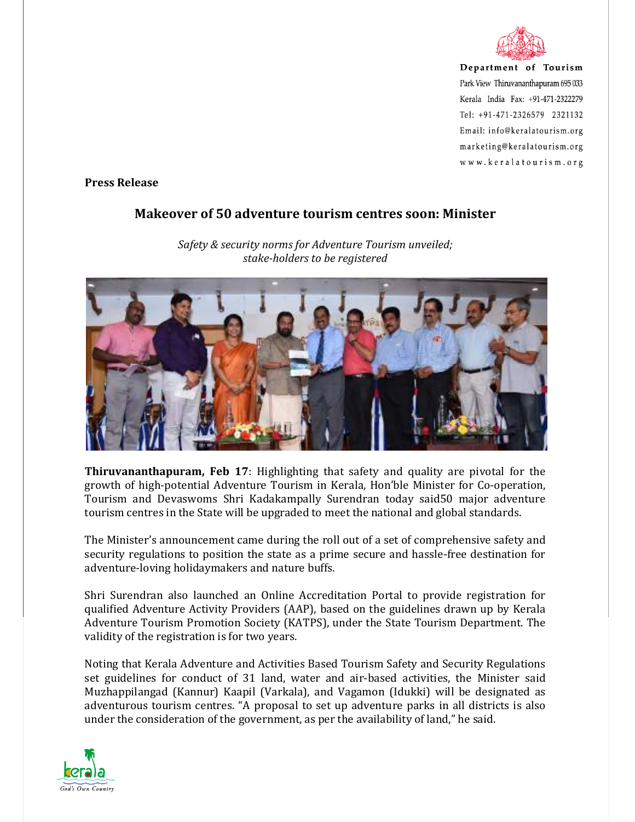

Department of Tourism Park View Thiruvananthapuram 695 033 Kerala India Fax: +91-471-2322279 Tel: +91-471-2326579 2321132 Email: info@keralatourism.org marketing@keralatourism.org www.keralatourism.org

**Press Release** 

## **Makeover of 50 adventure tourism centres soon: Minister**



*Safety & security norms for Adventure Tourism unveiled; stake-holders to be registered* 

**Thiruvananthapuram, Feb 17**: Highlighting that safety and quality are pivotal for the growth of high-potential Adventure Tourism in Kerala, Hon'ble Minister for Co-operation, Tourism and Devaswoms Shri Kadakampally Surendran today said50 major adventure tourism centres in the State will be upgraded to meet the national and global standards.

The Minister's announcement came during the roll out of a set of comprehensive safety and security regulations to position the state as a prime secure and hassle-free destination for adventure-loving holidaymakers and nature buffs.

Shri Surendran also launched an Online Accreditation Portal to provide registration for qualified Adventure Activity Providers (AAP), based on the guidelines drawn up by Kerala Adventure Tourism Promotion Society (KATPS), under the State Tourism Department. The validity of the registration is for two years.

Noting that Kerala Adventure and Activities Based Tourism Safety and Security Regulations set guidelines for conduct of 31 land, water and air-based activities, the Minister said Muzhappilangad (Kannur) Kaapil (Varkala), and Vagamon (Idukki) will be designated as adventurous tourism centres. "A proposal to set up adventure parks in all districts is also under the consideration of the government, as per the availability of land," he said.

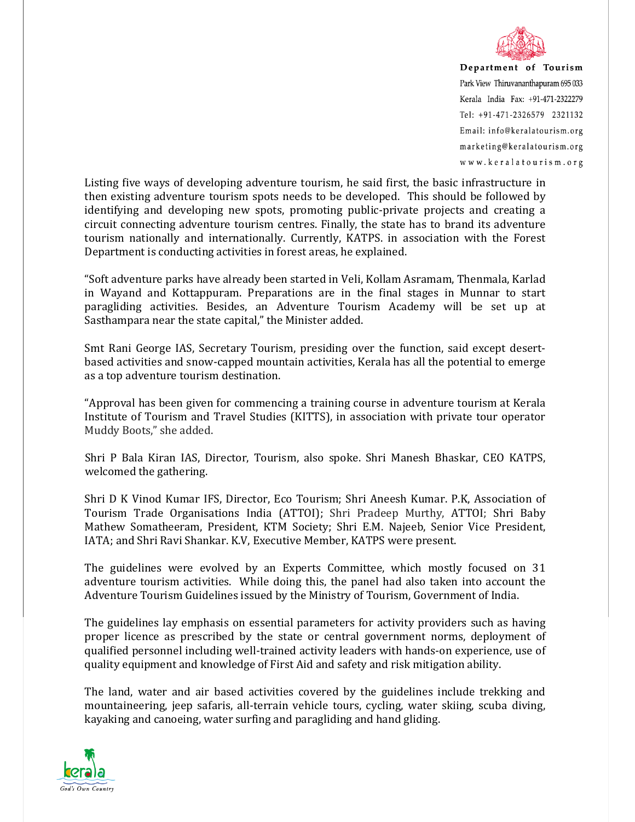

Department of Tourism Park View Thiruvananthapuram 695 033 Kerala India Fax: +91-471-2322279 Tel: +91-471-2326579 2321132 Email: info@keralatourism.org marketing@keralatourism.org www.keralatourism.org

Listing five ways of developing adventure tourism, he said first, the basic infrastructure in then existing adventure tourism spots needs to be developed. This should be followed by identifying and developing new spots, promoting public-private projects and creating a circuit connecting adventure tourism centres. Finally, the state has to brand its adventure tourism nationally and internationally. Currently, KATPS. in association with the Forest Department is conducting activities in forest areas, he explained.

"Soft adventure parks have already been started in Veli, Kollam Asramam, Thenmala, Karlad in Wayand and Kottappuram. Preparations are in the final stages in Munnar to start paragliding activities. Besides, an Adventure Tourism Academy will be set up at Sasthampara near the state capital," the Minister added.

Smt Rani George IAS, Secretary Tourism, presiding over the function, said except desertbased activities and snow-capped mountain activities, Kerala has all the potential to emerge as a top adventure tourism destination.

"Approval has been given for commencing a training course in adventure tourism at Kerala Institute of Tourism and Travel Studies (KITTS), in association with private tour operator Muddy Boots," she added.

Shri P Bala Kiran IAS, Director, Tourism, also spoke. Shri Manesh Bhaskar, CEO KATPS, welcomed the gathering.

Shri D K Vinod Kumar IFS, Director, Eco Tourism; Shri Aneesh Kumar. P.K, Association of Tourism Trade Organisations India (ATTOI); Shri Pradeep Murthy, ATTOI; Shri Baby Mathew Somatheeram, President, KTM Society; Shri E.M. Najeeb, Senior Vice President, IATA; and Shri Ravi Shankar. K.V, Executive Member, KATPS were present.

The guidelines were evolved by an Experts Committee, which mostly focused on 31 adventure tourism activities. While doing this, the panel had also taken into account the Adventure Tourism Guidelines issued by the Ministry of Tourism, Government of India.

The guidelines lay emphasis on essential parameters for activity providers such as having proper licence as prescribed by the state or central government norms, deployment of qualified personnel including well-trained activity leaders with hands-on experience, use of quality equipment and knowledge of First Aid and safety and risk mitigation ability.

The land, water and air based activities covered by the guidelines include trekking and mountaineering, jeep safaris, all-terrain vehicle tours, cycling, water skiing, scuba diving, kayaking and canoeing, water surfing and paragliding and hand gliding.